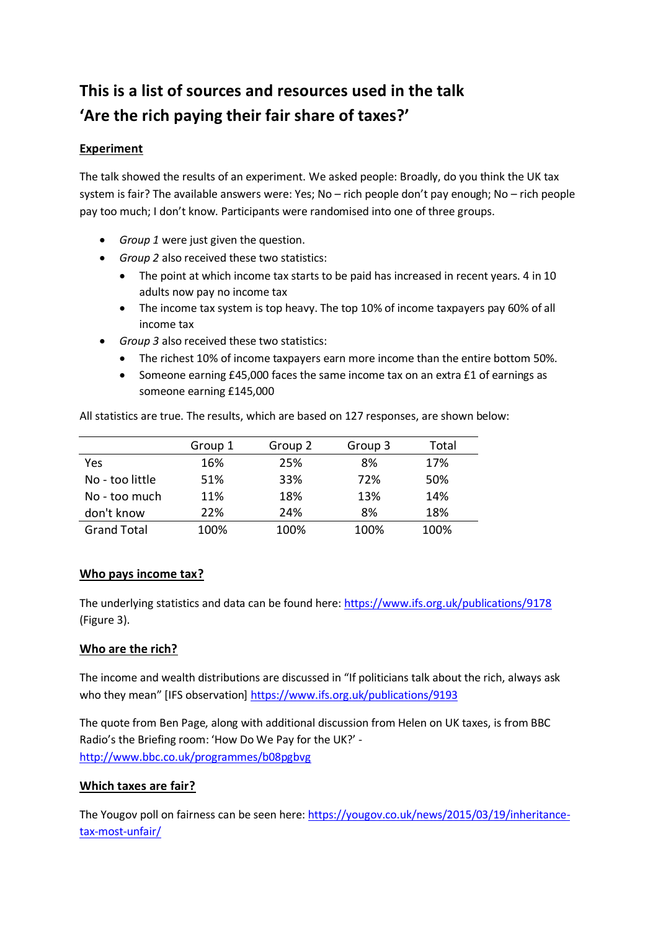# **This is a list of sources and resources used in the talk 'Are the rich paying their fair share of taxes?'**

## **Experiment**

The talk showed the results of an experiment. We asked people: Broadly, do you think the UK tax system is fair? The available answers were: Yes; No – rich people don't pay enough; No – rich people pay too much; I don't know. Participants were randomised into one of three groups.

- *Group 1* were just given the question.
- *Group 2* also received these two statistics:
	- The point at which income tax starts to be paid has increased in recent years. 4 in 10 adults now pay no income tax
	- The income tax system is top heavy. The top 10% of income taxpayers pay 60% of all income tax
- *Group 3* also received these two statistics:
	- The richest 10% of income taxpayers earn more income than the entire bottom 50%.
	- Someone earning £45,000 faces the same income tax on an extra £1 of earnings as someone earning £145,000

All statistics are true. The results, which are based on 127 responses, are shown below:

|                    | Group 1 | Group 2 | Group 3 | Total |
|--------------------|---------|---------|---------|-------|
| Yes                | 16%     | 25%     | 8%      | 17%   |
| No - too little    | 51%     | 33%     | 72%     | 50%   |
| No - too much      | 11%     | 18%     | 13%     | 14%   |
| don't know         | 22%     | 24%     | 8%      | 18%   |
| <b>Grand Total</b> | 100%    | 100%    | 100%    | 100%  |

### **Who pays income tax?**

The underlying statistics and data can be found here:<https://www.ifs.org.uk/publications/9178> (Figure 3).

### **Who are the rich?**

The income and wealth distributions are discussed in "If politicians talk about the rich, always ask who they mean" [IFS observation[\] https://www.ifs.org.uk/publications/9193](https://www.ifs.org.uk/publications/9193)

The quote from Ben Page, along with additional discussion from Helen on UK taxes, is from BBC Radio's the Briefing room: 'How Do We Pay for the UK?' <http://www.bbc.co.uk/programmes/b08pgbvg>

### **Which taxes are fair?**

The Yougov poll on fairness can be seen here[: https://yougov.co.uk/news/2015/03/19/inheritance](https://yougov.co.uk/news/2015/03/19/inheritance-tax-most-unfair/)[tax-most-unfair/](https://yougov.co.uk/news/2015/03/19/inheritance-tax-most-unfair/)